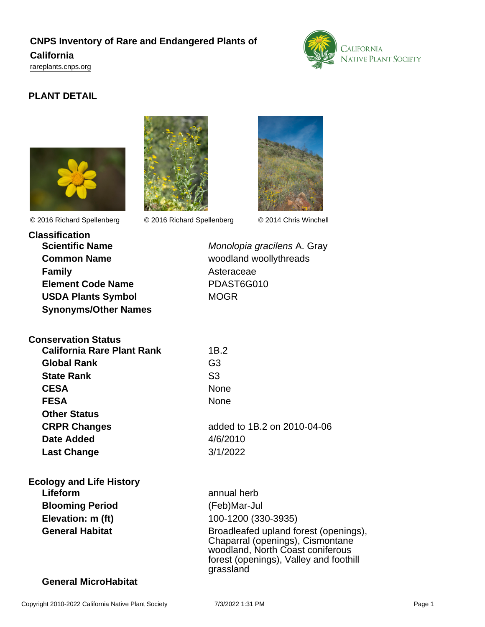# **CNPS Inventory of Rare and Endangered Plants of California**

<rareplants.cnps.org>



# **PLANT DETAIL**





© 2016 Richard Spellenberg © 2016 Richard Spellenberg © 2014 Chris Winchell



**Classification Common Name** woodland woollythreads **Family** Asteraceae **Element Code Name** PDAST6G010 **USDA Plants Symbol** MOGR **Synonyms/Other Names**

**Scientific Name** Monolopia gracilens A. Gray

| <b>Conservation Status</b> |                |
|----------------------------|----------------|
| California Rare Plant Rank | 1B.2           |
| Global Rank                | G <sub>3</sub> |
| <b>State Rank</b>          | S <sub>3</sub> |
| <b>CESA</b>                | None           |
| <b>FESA</b>                | None           |
| <b>Other Status</b>        |                |
| <b>CRPR Changes</b>        | adde           |
| Date Added                 | 4/6/21         |
| <b>Last Change</b>         | 3/1/20         |
|                            |                |
|                            |                |

**CRPR Changes** added to 1B.2 on 2010-04-06 **Date Added** 4/6/2010 **Last Change** 3/1/2022

# **Ecology and Life History**

**Lifeform** annual herb **Blooming Period** (Feb)Mar-Jul

**Elevation: m (ft)** 100-1200 (330-3935) General Habitat **General Habitat** Broadleafed upland forest (openings), Chaparral (openings), Cismontane woodland, North Coast coniferous forest (openings), Valley and foothill grassland

### **General MicroHabitat**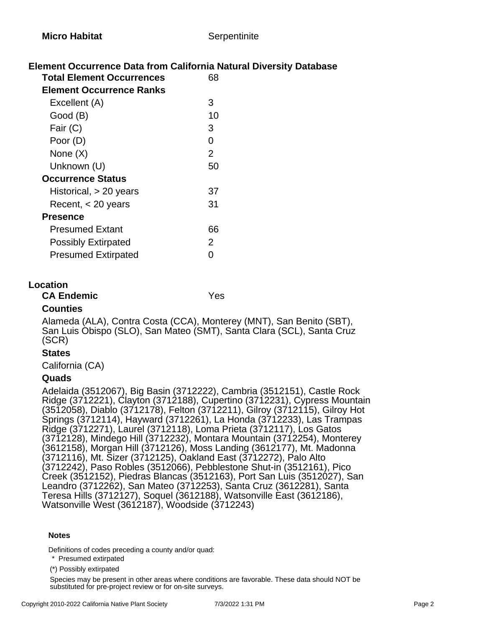### **Element Occurrence Data from California Natural Diversity Database**

| <b>Total Element Occurrences</b> |  |
|----------------------------------|--|
| <b>Element Occurrence Ranks</b>  |  |
| Excellent (A)<br>З               |  |
| 10<br>Good (B)                   |  |
| Fair (C)<br>3                    |  |
| Poor (D)<br>0                    |  |
| None (X)<br>2                    |  |
| Unknown (U)<br>50                |  |
| <b>Occurrence Status</b>         |  |
| Historical, $> 20$ years<br>37   |  |
| 31<br>Recent, < 20 years         |  |
| <b>Presence</b>                  |  |
| Presumed Extant<br>66            |  |
| 2<br><b>Possibly Extirpated</b>  |  |
| <b>Presumed Extirpated</b>       |  |

#### **Location**

### **CA Endemic** Yes

### **Counties**

Alameda (ALA), Contra Costa (CCA), Monterey (MNT), San Benito (SBT), San Luis Obispo (SLO), San Mateo (SMT), Santa Clara (SCL), Santa Cruz (SCR)

#### **States**

California (CA)

### **Quads**

Adelaida (3512067), Big Basin (3712222), Cambria (3512151), Castle Rock Ridge (3712221), Clayton (3712188), Cupertino (3712231), Cypress Mountain (3512058), Diablo (3712178), Felton (3712211), Gilroy (3712115), Gilroy Hot Springs (3712114), Hayward (3712261), La Honda (3712233), Las Trampas Ridge (3712271), Laurel (3712118), Loma Prieta (3712117), Los Gatos (3712128), Mindego Hill (3712232), Montara Mountain (3712254), Monterey (3612158), Morgan Hill (3712126), Moss Landing (3612177), Mt. Madonna (3712116), Mt. Sizer (3712125), Oakland East (3712272), Palo Alto (3712242), Paso Robles (3512066), Pebblestone Shut-in (3512161), Pico Creek (3512152), Piedras Blancas (3512163), Port San Luis (3512027), San Leandro (3712262), San Mateo (3712253), Santa Cruz (3612281), Santa Teresa Hills (3712127), Soquel (3612188), Watsonville East (3612186), Watsonville West (3612187), Woodside (3712243)

#### **Notes**

Definitions of codes preceding a county and/or quad:

\* Presumed extirpated

(\*) Possibly extirpated

Species may be present in other areas where conditions are favorable. These data should NOT be substituted for pre-project review or for on-site surveys.